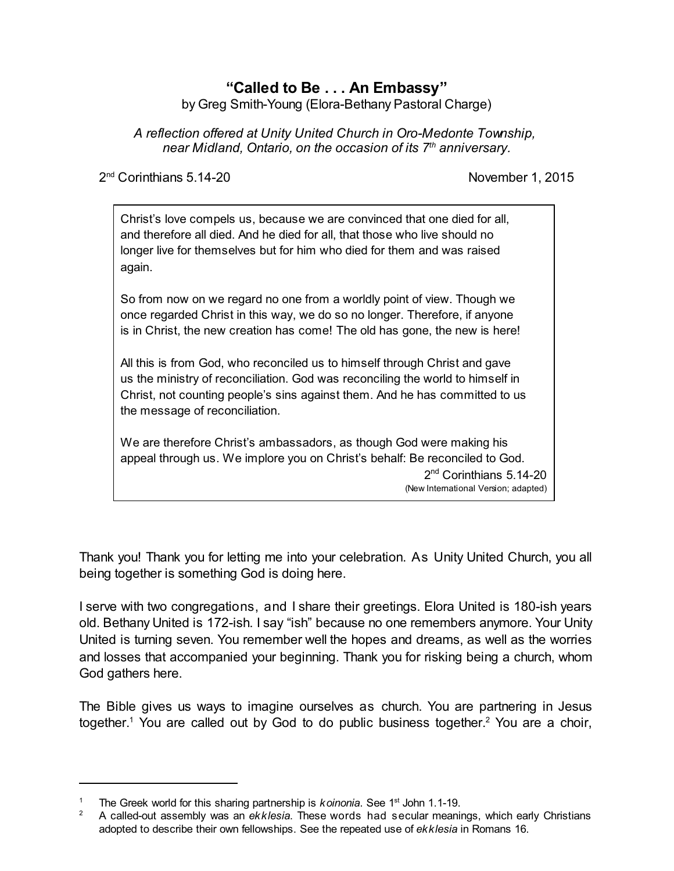# **"Called to Be . . . An Embassy"**

by Greg Smith-Young (Elora-Bethany Pastoral Charge)

*A reflection offered at Unity United Church in Oro-Medonte Township, near Midland, Ontario, on the occasion of its 7 th anniversary.*

2<sup>nd</sup> Corinthians 5.14-20 **November 1, 2015** 

Christ's love compels us, because we are convinced that one died for all, and therefore all died. And he died for all, that those who live should no longer live for themselves but for him who died for them and was raised again.

So from now on we regard no one from a worldly point of view. Though we once regarded Christ in this way, we do so no longer. Therefore, if anyone is in Christ, the new creation has come! The old has gone, the new is here!

All this is from God, who reconciled us to himself through Christ and gave us the ministry of reconciliation. God was reconciling the world to himself in Christ, not counting people's sins against them. And he has committed to us the message of reconciliation.

We are therefore Christ's ambassadors, as though God were making his appeal through us. We implore you on Christ's behalf: Be reconciled to God.

> 2<sup>nd</sup> Corinthians 5.14-20 (New International Version; adapted)

Thank you! Thank you for letting me into your celebration. As Unity United Church, you all being together is something God is doing here.

I serve with two congregations, and I share their greetings. Elora United is 180-ish years old. Bethany United is 172-ish. I say "ish" because no one remembers anymore. Your Unity United is turning seven. You remember well the hopes and dreams, as well as the worries and losses that accompanied your beginning. Thank you for risking being a church, whom God gathers here.

The Bible gives us ways to imagine ourselves as church. You are partnering in Jesus together.<sup>1</sup> You are called out by God to do public business together.<sup>2</sup> You are a choir,

<sup>&</sup>lt;sup>1</sup> The Greek world for this sharing partnership is *koinonia*. See 1<sup>st</sup> John 1.1-19.

<sup>&</sup>lt;sup>2</sup> A called-out assembly was an *ekklesia*. These words had secular meanings, which early Christians adopted to describe their own fellowships. See the repeated use of *ekklesia* in Romans 16.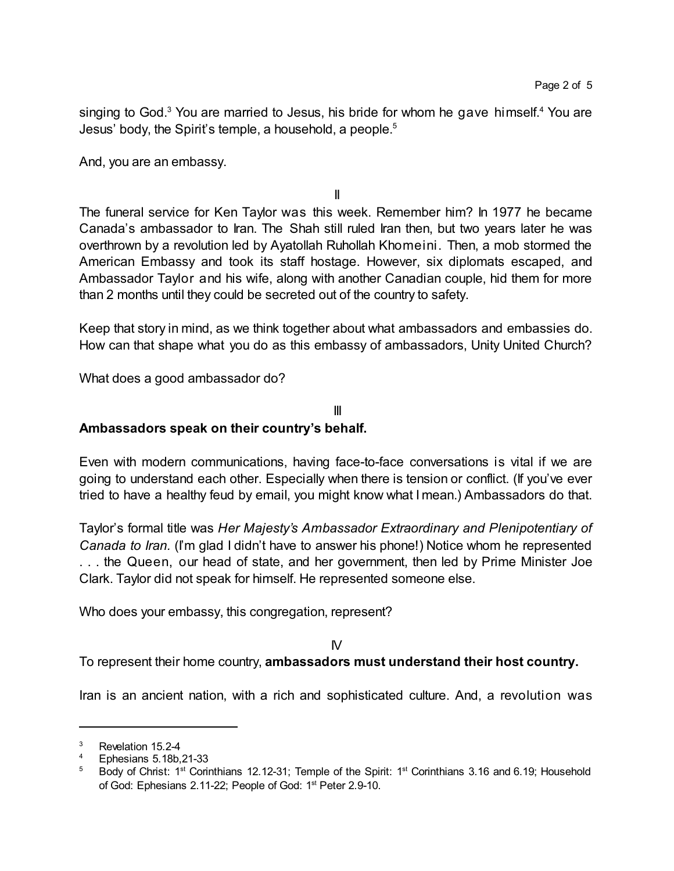singing to God.<sup>3</sup> You are married to Jesus, his bride for whom he gave himself.<sup>4</sup> You are Jesus' body, the Spirit's temple, a household, a people.<sup>5</sup>

And, you are an embassy.

II

The funeral service for Ken Taylor was this week. Remember him? In 1977 he became Canada's ambassador to Iran. The Shah still ruled Iran then, but two years later he was overthrown by a revolution led by Ayatollah Ruhollah Khomeini. Then, a mob stormed the American Embassy and took its staff hostage. However, six diplomats escaped, and Ambassador Taylor and his wife, along with another Canadian couple, hid them for more than 2 months until they could be secreted out of the country to safety.

Keep that story in mind, as we think together about what ambassadors and embassies do. How can that shape what you do as this embassy of ambassadors, Unity United Church?

What does a good ambassador do?

## III

# **Ambassadors speak on their country's behalf.**

Even with modern communications, having face-to-face conversations is vital if we are going to understand each other. Especially when there is tension or conflict. (If you've ever tried to have a healthy feud by email, you might know what I mean.) Ambassadors do that.

Taylor's formal title was *Her Majesty's Ambassador Extraordinary and Plenipotentiary of Canada to Iran.* (I'm glad I didn't have to answer his phone!) Notice whom he represented . . . the Queen, our head of state, and her government, then led by Prime Minister Joe Clark. Taylor did not speak for himself. He represented someone else.

Who does your embassy, this congregation, represent?

IV

To represent their home country, **ambassadors must understand their host country.**

Iran is an ancient nation, with a rich and sophisticated culture. And, a revolution was

<sup>&</sup>lt;sup>3</sup> Revelation 15.2-4

<sup>4</sup> Ephesians 5.18b,21-33

<sup>&</sup>lt;sup>5</sup> Body of Christ: 1<sup>st</sup> Corinthians 12.12-31; Temple of the Spirit: 1<sup>st</sup> Corinthians 3.16 and 6.19; Household of God: Ephesians 2.11-22; People of God: 1<sup>st</sup> Peter 2.9-10.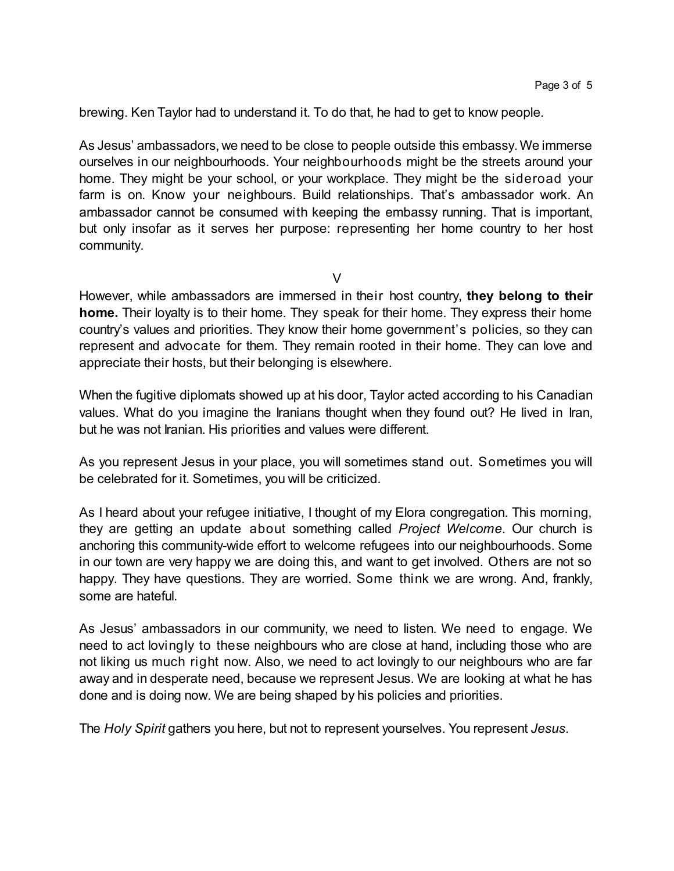brewing. Ken Taylor had to understand it. To do that, he had to get to know people.

As Jesus' ambassadors, we need to be close to people outside this embassy.We immerse ourselves in our neighbourhoods. Your neighbourhoods might be the streets around your home. They might be your school, or your workplace. They might be the sideroad your farm is on. Know your neighbours. Build relationships. That's ambassador work. An ambassador cannot be consumed with keeping the embassy running. That is important, but only insofar as it serves her purpose: representing her home country to her host community.

 $\vee$ 

However, while ambassadors are immersed in their host country, **they belong to their home.** Their loyalty is to their home. They speak for their home. They express their home country's values and priorities. They know their home government's policies, so they can represent and advocate for them. They remain rooted in their home. They can love and appreciate their hosts, but their belonging is elsewhere.

When the fugitive diplomats showed up at his door, Taylor acted according to his Canadian values. What do you imagine the Iranians thought when they found out? He lived in Iran, but he was not Iranian. His priorities and values were different.

As you represent Jesus in your place, you will sometimes stand out. Sometimes you will be celebrated for it. Sometimes, you will be criticized.

As I heard about your refugee initiative, I thought of my Elora congregation. This morning, they are getting an update about something called *Project Welcome*. Our church is anchoring this community-wide effort to welcome refugees into our neighbourhoods. Some in our town are very happy we are doing this, and want to get involved. Others are not so happy. They have questions. They are worried. Some think we are wrong. And, frankly, some are hateful.

As Jesus' ambassadors in our community, we need to listen. We need to engage. We need to act lovingly to these neighbours who are close at hand, including those who are not liking us much right now. Also, we need to act lovingly to our neighbours who are far away and in desperate need, because we represent Jesus. We are looking at what he has done and is doing now. We are being shaped by his policies and priorities.

The *Holy Spirit* gathers you here, but not to represent yourselves. You represent *Jesus*.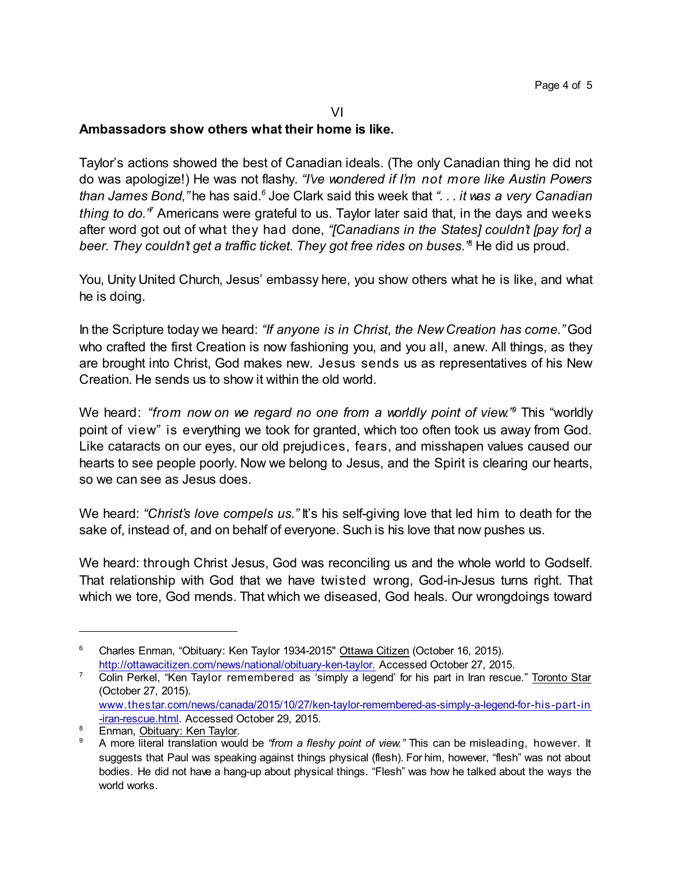#### VI

### **Ambassadors show others what their home is like.**

Taylor's actions showed the best of Canadian ideals. (The only Canadian thing he did not do was apologize!) He was not flashy. *"I've wondered if I'm not more like Austin Powers than James Bond,"* he has said.*<sup>6</sup>* Joe Clark said this week that *". . . it was a very Canadian thing to do." <sup>7</sup>* Americans were grateful to us. Taylor later said that, in the days and weeks after word got out of what they had done, *"[Canadians in the States] couldn't [pay for] a beer. They couldn't get a traffic ticket. They got free rides on buses."* <sup>8</sup> He did us proud.

You, Unity United Church, Jesus' embassy here, you show others what he is like, and what he is doing.

In the Scripture today we heard: *"If anyone is in Christ*, *the New Creation has come."* God who crafted the first Creation is now fashioning you, and you all, anew. All things, as they are brought into Christ, God makes new. Jesus sends us as representatives of his New Creation. He sends us to show it within the old world.

We heard: *"from now on we regard no one from a worldly point of view." <sup>9</sup>* This "worldly point of view" is everything we took for granted, which too often took us away from God. Like cataracts on our eyes, our old prejudices, fears, and misshapen values caused our hearts to see people poorly. Now we belong to Jesus, and the Spirit is clearing our hearts, so we can see as Jesus does.

We heard: "Christ's love compels us." It's his self-giving love that led him to death for the sake of, instead of, and on behalf of everyone. Such is his love that now pushes us.

We heard: through Christ Jesus, God was reconciling us and the whole world to Godself. That relationship with God that we have twisted wrong, God-in-Jesus turns right. That which we tore, God mends. That which we diseased, God heals. Our wrongdoings toward

<sup>&</sup>lt;sup>6</sup> Charles Enman, "Obituary: Ken Taylor 1934-2015" Ottawa Citizen (October 16, 2015). <http://ottawacitizen.com/news/national/obituary-ken-taylor.> Accessed October 27, 2015.

<sup>&</sup>lt;sup>7</sup> Colin Perkel, "Ken Taylor remembered as 'simply a legend' for his part in Iran rescue." Toronto Star (October 27, 2015). [www.thestar.com/news/canada/2015/10/27/ken-taylor-remembered-as-simply-a-legend-for-his-part-in](http://www.thestar.com/news/canada/2015/10/27/ken-taylor-remembered-as-simply-a-legend-for-his-part-in-iran-rescue.html) [-iran-rescue.html](http://www.thestar.com/news/canada/2015/10/27/ken-taylor-remembered-as-simply-a-legend-for-his-part-in-iran-rescue.html). Accessed October 29, 2015.

<sup>&</sup>lt;sup>8</sup> Enman, Obituary: Ken Taylor.

<sup>9</sup> A more literal translation would be *"from a fleshy point of view."* This can be misleading, however. It suggests that Paul was speaking against things physical (flesh). For him, however, "flesh" was not about bodies. He did not have a hang-up about physical things. "Flesh" was how he talked about the ways the world works.